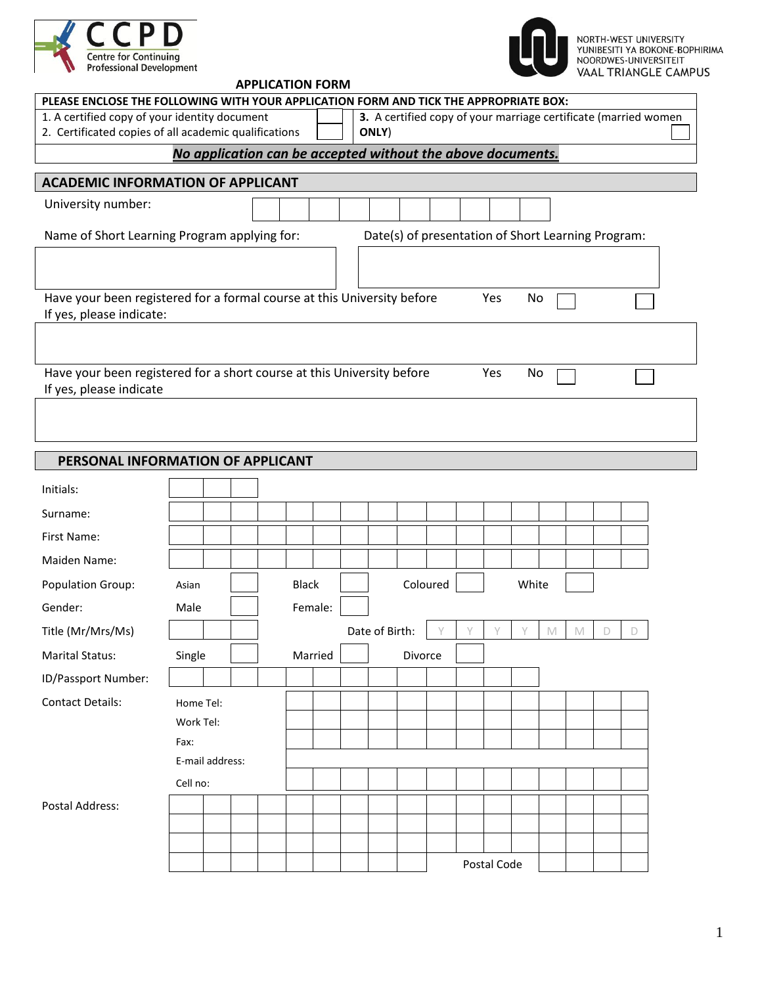



## **APPLICATION FORM**

| PLEASE ENCLOSE THE FOLLOWING WITH YOUR APPLICATION FORM AND TICK THE APPROPRIATE BOX:                                         |                                                                                                                  |  |  |  |              |         |  |                |          |  |             |       |   |              |   |   |  |
|-------------------------------------------------------------------------------------------------------------------------------|------------------------------------------------------------------------------------------------------------------|--|--|--|--------------|---------|--|----------------|----------|--|-------------|-------|---|--------------|---|---|--|
| 1. A certified copy of your identity document<br>3. A certified copy of your marriage certificate (married women              |                                                                                                                  |  |  |  |              |         |  |                |          |  |             |       |   |              |   |   |  |
| 2. Certificated copies of all academic qualifications<br>ONLY)<br>No application can be accepted without the above documents. |                                                                                                                  |  |  |  |              |         |  |                |          |  |             |       |   |              |   |   |  |
|                                                                                                                               |                                                                                                                  |  |  |  |              |         |  |                |          |  |             |       |   |              |   |   |  |
| <b>ACADEMIC INFORMATION OF APPLICANT</b>                                                                                      |                                                                                                                  |  |  |  |              |         |  |                |          |  |             |       |   |              |   |   |  |
| University number:                                                                                                            |                                                                                                                  |  |  |  |              |         |  |                |          |  |             |       |   |              |   |   |  |
| Name of Short Learning Program applying for:<br>Date(s) of presentation of Short Learning Program:                            |                                                                                                                  |  |  |  |              |         |  |                |          |  |             |       |   |              |   |   |  |
|                                                                                                                               |                                                                                                                  |  |  |  |              |         |  |                |          |  |             |       |   |              |   |   |  |
|                                                                                                                               | Have your been registered for a formal course at this University before<br>Yes<br>No<br>If yes, please indicate: |  |  |  |              |         |  |                |          |  |             |       |   |              |   |   |  |
|                                                                                                                               |                                                                                                                  |  |  |  |              |         |  |                |          |  |             |       |   |              |   |   |  |
| Have your been registered for a short course at this University before<br>If yes, please indicate                             |                                                                                                                  |  |  |  |              |         |  |                |          |  | Yes         | No    |   |              |   |   |  |
|                                                                                                                               |                                                                                                                  |  |  |  |              |         |  |                |          |  |             |       |   |              |   |   |  |
|                                                                                                                               |                                                                                                                  |  |  |  |              |         |  |                |          |  |             |       |   |              |   |   |  |
| PERSONAL INFORMATION OF APPLICANT                                                                                             |                                                                                                                  |  |  |  |              |         |  |                |          |  |             |       |   |              |   |   |  |
| Initials:                                                                                                                     |                                                                                                                  |  |  |  |              |         |  |                |          |  |             |       |   |              |   |   |  |
| Surname:                                                                                                                      |                                                                                                                  |  |  |  |              |         |  |                |          |  |             |       |   |              |   |   |  |
| First Name:                                                                                                                   |                                                                                                                  |  |  |  |              |         |  |                |          |  |             |       |   |              |   |   |  |
| Maiden Name:                                                                                                                  |                                                                                                                  |  |  |  |              |         |  |                |          |  |             |       |   |              |   |   |  |
| <b>Population Group:</b>                                                                                                      | Asian                                                                                                            |  |  |  | <b>Black</b> |         |  |                | Coloured |  |             | White |   |              |   |   |  |
| Gender:                                                                                                                       | Male                                                                                                             |  |  |  |              | Female: |  |                |          |  |             |       |   |              |   |   |  |
| Title (Mr/Mrs/Ms)                                                                                                             |                                                                                                                  |  |  |  |              |         |  | Date of Birth: |          |  | Y           | Y     | M | $\mathsf{M}$ | D | D |  |
| <b>Marital Status:</b>                                                                                                        | Single                                                                                                           |  |  |  |              | Married |  |                | Divorce  |  |             |       |   |              |   |   |  |
| ID/Passport Number:                                                                                                           |                                                                                                                  |  |  |  |              |         |  |                |          |  |             |       |   |              |   |   |  |
| <b>Contact Details:</b>                                                                                                       | Home Tel:                                                                                                        |  |  |  |              |         |  |                |          |  |             |       |   |              |   |   |  |
|                                                                                                                               | Work Tel:                                                                                                        |  |  |  |              |         |  |                |          |  |             |       |   |              |   |   |  |
|                                                                                                                               | Fax:                                                                                                             |  |  |  |              |         |  |                |          |  |             |       |   |              |   |   |  |
| E-mail address:                                                                                                               |                                                                                                                  |  |  |  |              |         |  |                |          |  |             |       |   |              |   |   |  |
|                                                                                                                               | Cell no:                                                                                                         |  |  |  |              |         |  |                |          |  |             |       |   |              |   |   |  |
| Postal Address:                                                                                                               |                                                                                                                  |  |  |  |              |         |  |                |          |  |             |       |   |              |   |   |  |
|                                                                                                                               |                                                                                                                  |  |  |  |              |         |  |                |          |  |             |       |   |              |   |   |  |
|                                                                                                                               |                                                                                                                  |  |  |  |              |         |  |                |          |  | Postal Code |       |   |              |   |   |  |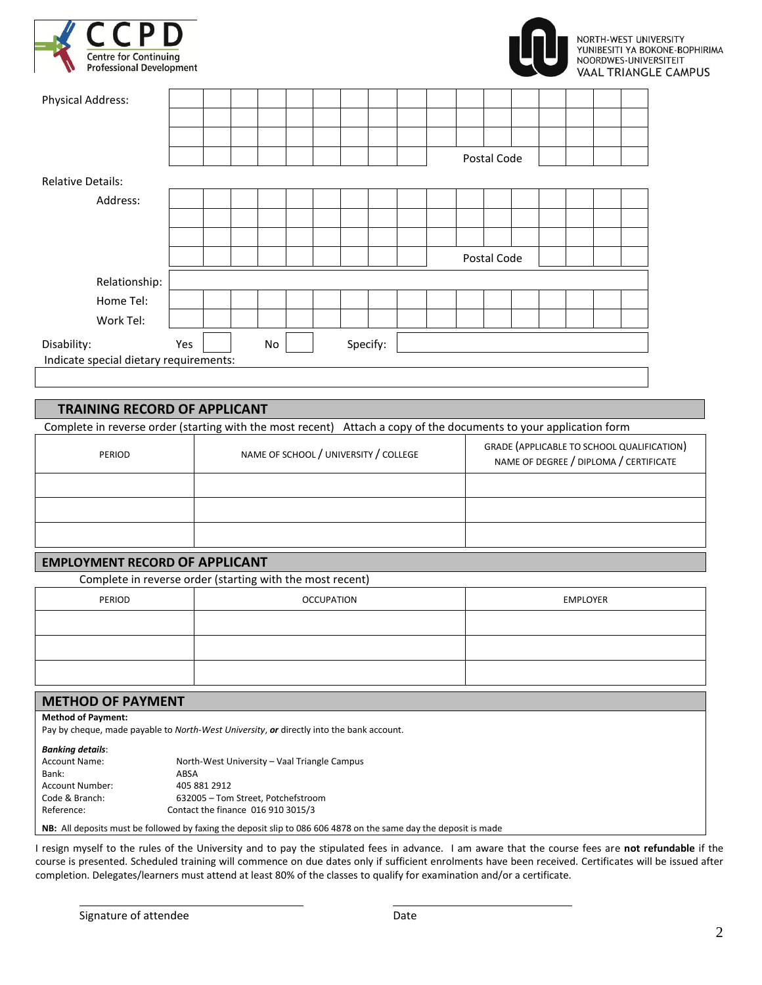



| <b>Physical Address:</b>               |     |  |  |    |  |  |          |  |  |             |  |  |  |
|----------------------------------------|-----|--|--|----|--|--|----------|--|--|-------------|--|--|--|
|                                        |     |  |  |    |  |  |          |  |  |             |  |  |  |
|                                        |     |  |  |    |  |  |          |  |  |             |  |  |  |
|                                        |     |  |  |    |  |  |          |  |  | Postal Code |  |  |  |
| <b>Relative Details:</b>               |     |  |  |    |  |  |          |  |  |             |  |  |  |
| Address:                               |     |  |  |    |  |  |          |  |  |             |  |  |  |
|                                        |     |  |  |    |  |  |          |  |  |             |  |  |  |
|                                        |     |  |  |    |  |  |          |  |  |             |  |  |  |
|                                        |     |  |  |    |  |  |          |  |  | Postal Code |  |  |  |
| Relationship:                          |     |  |  |    |  |  |          |  |  |             |  |  |  |
| Home Tel:                              |     |  |  |    |  |  |          |  |  |             |  |  |  |
| Work Tel:                              |     |  |  |    |  |  |          |  |  |             |  |  |  |
| Disability:                            | Yes |  |  | No |  |  | Specify: |  |  |             |  |  |  |
| Indicate special dietary requirements: |     |  |  |    |  |  |          |  |  |             |  |  |  |

## **TRAINING RECORD OF APPLICANT**

Complete in reverse order (starting with the most recent) Attach a copy of the documents to your application form

| PERIOD | NAME OF SCHOOL / UNIVERSITY / COLLEGE | GRADE (APPLICABLE TO SCHOOL QUALIFICATION)<br>NAME OF DEGREE / DIPLOMA / CERTIFICATE |
|--------|---------------------------------------|--------------------------------------------------------------------------------------|
|        |                                       |                                                                                      |
|        |                                       |                                                                                      |
|        |                                       |                                                                                      |

#### **EMPLOYMENT RECORD OF APPLICANT**

Complete in reverse order (starting with the most recent)

| PERIOD | <b>OCCUPATION</b> | EMPLOYER |
|--------|-------------------|----------|
|        |                   |          |
|        |                   |          |
|        |                   |          |

# **METHOD OF PAYMENT**

**Method of Payment:**

Pay by cheque, made payable to *North-West University*, *or* directly into the bank account.

| <b>Banking details:</b> |                                              |
|-------------------------|----------------------------------------------|
| <b>Account Name:</b>    | North-West University - Vaal Triangle Campus |
| Bank:                   | ABSA                                         |
| <b>Account Number:</b>  | 405 881 2912                                 |
| Code & Branch:          | 632005 - Tom Street, Potchefstroom           |
| Reference:              | Contact the finance 016 910 3015/3           |
|                         |                                              |

**NB:** All deposits must be followed by faxing the deposit slip to 086 606 4878 on the same day the deposit is made

I resign myself to the rules of the University and to pay the stipulated fees in advance. I am aware that the course fees are **not refundable** if the course is presented. Scheduled training will commence on due dates only if sufficient enrolments have been received. Certificates will be issued after completion. Delegates/learners must attend at least 80% of the classes to qualify for examination and/or a certificate.